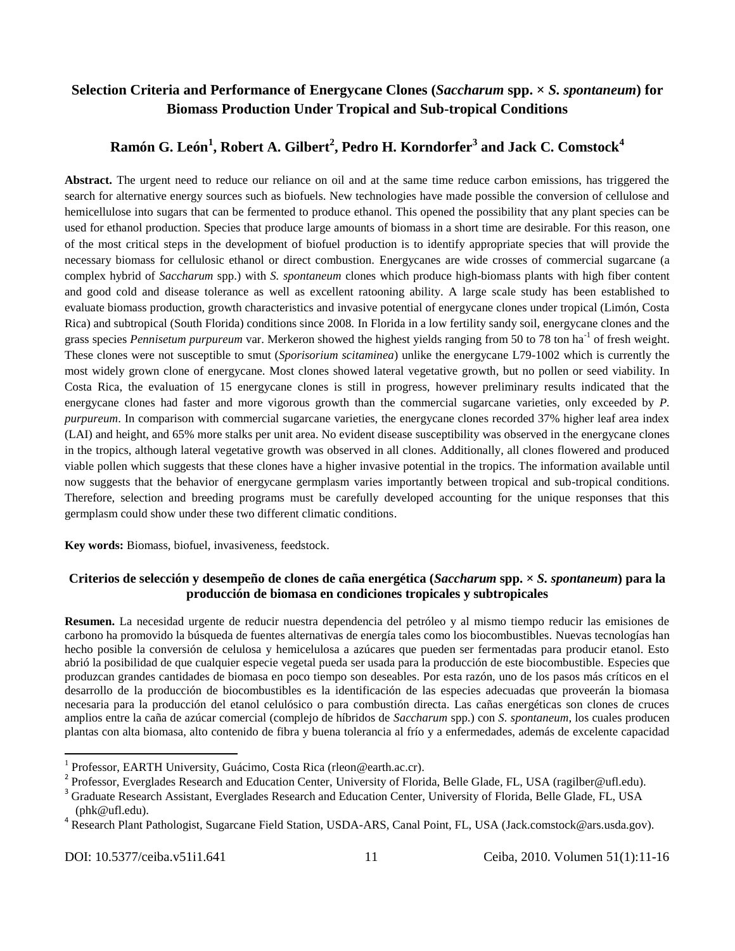## **Selection Criteria and Performance of Energycane Clones (***Saccharum* **spp. ×** *S. spontaneum***) for Biomass Production Under Tropical and Sub-tropical Conditions**

# **Ramón G. León<sup>1</sup> , Robert A. Gilbert<sup>2</sup> , Pedro H. Korndorfer<sup>3</sup> and Jack C. Comstock<sup>4</sup>**

**Abstract.** The urgent need to reduce our reliance on oil and at the same time reduce carbon emissions, has triggered the search for alternative energy sources such as biofuels. New technologies have made possible the conversion of cellulose and hemicellulose into sugars that can be fermented to produce ethanol. This opened the possibility that any plant species can be used for ethanol production. Species that produce large amounts of biomass in a short time are desirable. For this reason, one of the most critical steps in the development of biofuel production is to identify appropriate species that will provide the necessary biomass for cellulosic ethanol or direct combustion. Energycanes are wide crosses of commercial sugarcane (a complex hybrid of *Saccharum* spp.) with *S. spontaneum* clones which produce high-biomass plants with high fiber content and good cold and disease tolerance as well as excellent ratooning ability. A large scale study has been established to evaluate biomass production, growth characteristics and invasive potential of energycane clones under tropical (Limón, Costa Rica) and subtropical (South Florida) conditions since 2008. In Florida in a low fertility sandy soil, energycane clones and the grass species *Pennisetum purpureum* var. Merkeron showed the highest yields ranging from 50 to 78 ton ha<sup>-1</sup> of fresh weight. These clones were not susceptible to smut (*Sporisorium scitaminea*) unlike the energycane L79-1002 which is currently the most widely grown clone of energycane. Most clones showed lateral vegetative growth, but no pollen or seed viability. In Costa Rica, the evaluation of 15 energycane clones is still in progress, however preliminary results indicated that the energycane clones had faster and more vigorous growth than the commercial sugarcane varieties, only exceeded by *P. purpureum*. In comparison with commercial sugarcane varieties, the energycane clones recorded 37% higher leaf area index (LAI) and height, and 65% more stalks per unit area. No evident disease susceptibility was observed in the energycane clones in the tropics, although lateral vegetative growth was observed in all clones. Additionally, all clones flowered and produced viable pollen which suggests that these clones have a higher invasive potential in the tropics. The information available until now suggests that the behavior of energycane germplasm varies importantly between tropical and sub-tropical conditions. Therefore, selection and breeding programs must be carefully developed accounting for the unique responses that this germplasm could show under these two different climatic conditions.

**Key words:** Biomass, biofuel, invasiveness, feedstock.

## **Criterios de selección y desempeño de clones de caña energética (***Saccharum* **spp. ×** *S. spontaneum***) para la producción de biomasa en condiciones tropicales y subtropicales**

**Resumen.** La necesidad urgente de reducir nuestra dependencia del petróleo y al mismo tiempo reducir las emisiones de carbono ha promovido la búsqueda de fuentes alternativas de energía tales como los biocombustibles. Nuevas tecnologías han hecho posible la conversión de celulosa y hemicelulosa a azúcares que pueden ser fermentadas para producir etanol. Esto abrió la posibilidad de que cualquier especie vegetal pueda ser usada para la producción de este biocombustible. Especies que produzcan grandes cantidades de biomasa en poco tiempo son deseables. Por esta razón, uno de los pasos más críticos en el desarrollo de la producción de biocombustibles es la identificación de las especies adecuadas que proveerán la biomasa necesaria para la producción del etanol celulósico o para combustión directa. Las cañas energéticas son clones de cruces amplios entre la caña de azúcar comercial (complejo de híbridos de *Saccharum* spp.) con *S. spontaneum*, los cuales producen plantas con alta biomasa, alto contenido de fibra y buena tolerancia al frío y a enfermedades, además de excelente capacidad

 1 Professor, EARTH University, Guácimo, Costa Rica (rleon@earth.ac.cr).

<sup>&</sup>lt;sup>2</sup> Professor, Everglades Research and Education Center, University of Florida, Belle Glade, FL, USA [\(ragilber@ufl.edu\)](mailto:ragilber@ufl.edu).

<sup>&</sup>lt;sup>3</sup> Graduate Research Assistant, Everglades Research and Education Center, University of Florida, Belle Glade, FL, USA [\(phk@ufl.edu\)](mailto:phk@ufl.edu).

<sup>&</sup>lt;sup>4</sup> Research Plant Pathologist, Sugarcane Field Station, USDA-ARS, Canal Point, FL, USA [\(Jack.comstock@ars.usda.gov\)](mailto:Jack.comstock@ars.usda.gov).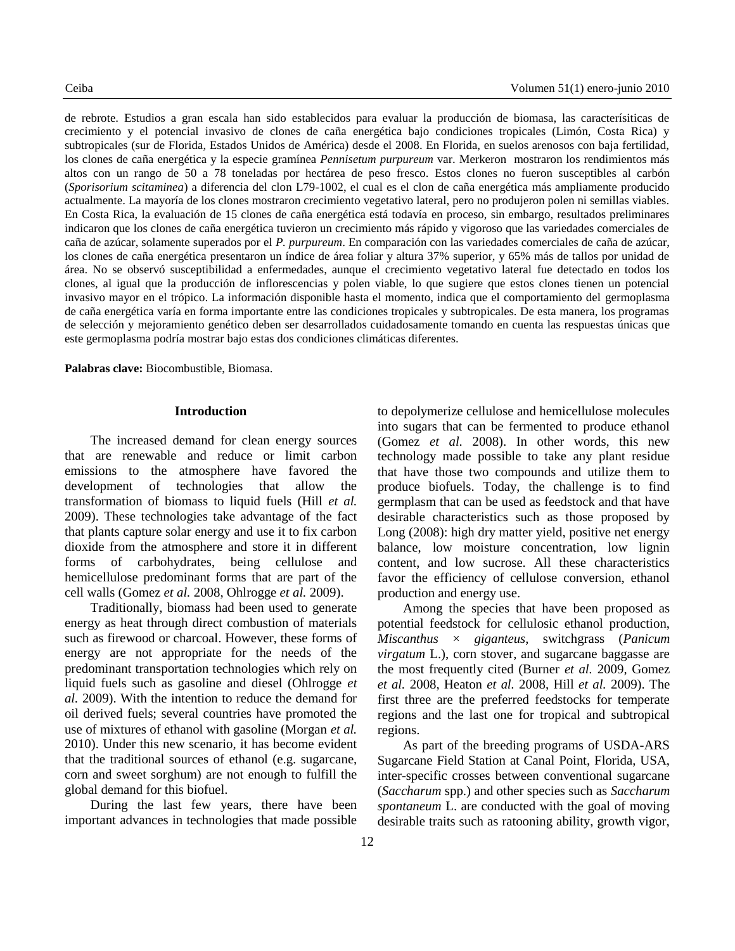de rebrote. Estudios a gran escala han sido establecidos para evaluar la producción de biomasa, las caracterísiticas de crecimiento y el potencial invasivo de clones de caña energética bajo condiciones tropicales (Limón, Costa Rica) y subtropicales (sur de Florida, Estados Unidos de América) desde el 2008. En Florida, en suelos arenosos con baja fertilidad, los clones de caña energética y la especie gramínea *Pennisetum purpureum* var. Merkeron mostraron los rendimientos más altos con un rango de 50 a 78 toneladas por hectárea de peso fresco. Estos clones no fueron susceptibles al carbón (*Sporisorium scitaminea*) a diferencia del clon L79-1002, el cual es el clon de caña energética más ampliamente producido actualmente. La mayoría de los clones mostraron crecimiento vegetativo lateral, pero no produjeron polen ni semillas viables. En Costa Rica, la evaluación de 15 clones de caña energética está todavía en proceso, sin embargo, resultados preliminares indicaron que los clones de caña energética tuvieron un crecimiento más rápido y vigoroso que las variedades comerciales de caña de azúcar, solamente superados por el *P. purpureum*. En comparación con las variedades comerciales de caña de azúcar, los clones de caña energética presentaron un índice de área foliar y altura 37% superior, y 65% más de tallos por unidad de área. No se observó susceptibilidad a enfermedades, aunque el crecimiento vegetativo lateral fue detectado en todos los clones, al igual que la producción de inflorescencias y polen viable, lo que sugiere que estos clones tienen un potencial invasivo mayor en el trópico. La información disponible hasta el momento, indica que el comportamiento del germoplasma de caña energética varía en forma importante entre las condiciones tropicales y subtropicales. De esta manera, los programas de selección y mejoramiento genético deben ser desarrollados cuidadosamente tomando en cuenta las respuestas únicas que este germoplasma podría mostrar bajo estas dos condiciones climáticas diferentes.

**Palabras clave:** Biocombustible, Biomasa.

#### **Introduction**

The increased demand for clean energy sources that are renewable and reduce or limit carbon emissions to the atmosphere have favored the development of technologies that allow the transformation of biomass to liquid fuels (Hill *et al.* 2009). These technologies take advantage of the fact that plants capture solar energy and use it to fix carbon dioxide from the atmosphere and store it in different forms of carbohydrates, being cellulose and hemicellulose predominant forms that are part of the cell walls (Gomez *et al.* 2008, Ohlrogge *et al.* 2009).

Traditionally, biomass had been used to generate energy as heat through direct combustion of materials such as firewood or charcoal. However, these forms of energy are not appropriate for the needs of the predominant transportation technologies which rely on liquid fuels such as gasoline and diesel (Ohlrogge *et al.* 2009). With the intention to reduce the demand for oil derived fuels; several countries have promoted the use of mixtures of ethanol with gasoline (Morgan *et al.* 2010). Under this new scenario, it has become evident that the traditional sources of ethanol (e.g. sugarcane, corn and sweet sorghum) are not enough to fulfill the global demand for this biofuel.

During the last few years, there have been important advances in technologies that made possible into sugars that can be fermented to produce ethanol (Gomez *et al.* 2008). In other words, this new technology made possible to take any plant residue that have those two compounds and utilize them to produce biofuels. Today, the challenge is to find germplasm that can be used as feedstock and that have desirable characteristics such as those proposed by Long (2008): high dry matter yield, positive net energy balance, low moisture concentration, low lignin content, and low sucrose. All these characteristics favor the efficiency of cellulose conversion, ethanol production and energy use. Among the species that have been proposed as

to depolymerize cellulose and hemicellulose molecules

potential feedstock for cellulosic ethanol production, *Miscanthus* × *giganteus*, switchgrass (*Panicum virgatum* L.), corn stover, and sugarcane baggasse are the most frequently cited (Burner *et al.* 2009, Gomez *et al.* 2008, Heaton *et al.* 2008, Hill *et al.* 2009). The first three are the preferred feedstocks for temperate regions and the last one for tropical and subtropical regions.

As part of the breeding programs of USDA-ARS Sugarcane Field Station at Canal Point, Florida, USA, inter-specific crosses between conventional sugarcane (*Saccharum* spp.) and other species such as *Saccharum spontaneum* L. are conducted with the goal of moving desirable traits such as ratooning ability, growth vigor,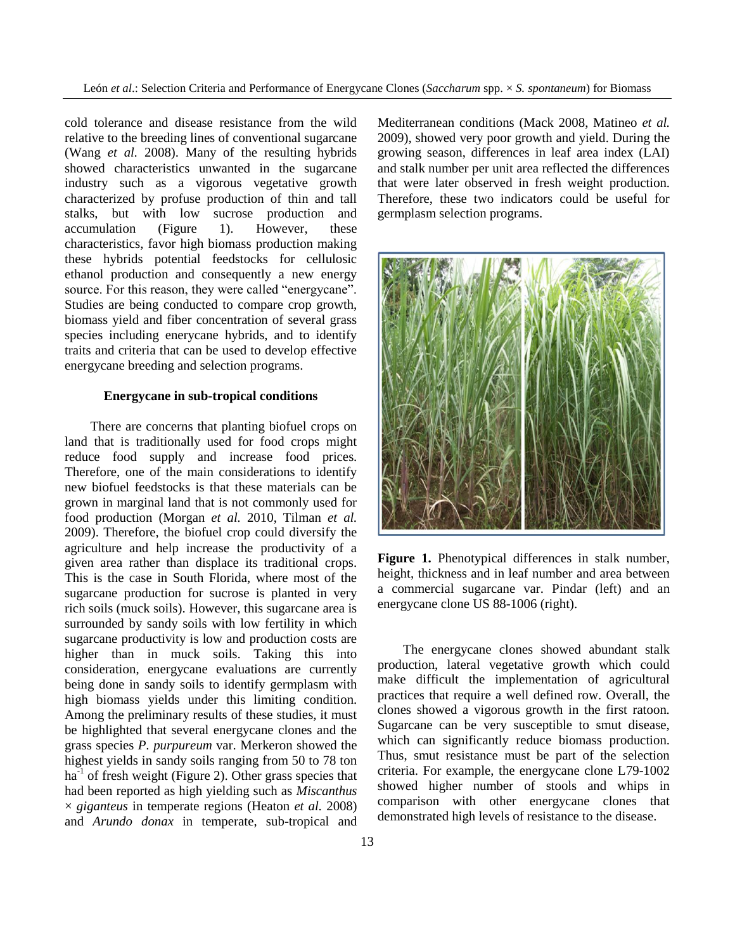cold tolerance and disease resistance from the wild relative to the breeding lines of conventional sugarcane (Wang *et al.* 2008). Many of the resulting hybrids showed characteristics unwanted in the sugarcane industry such as a vigorous vegetative growth characterized by profuse production of thin and tall stalks, but with low sucrose production and accumulation (Figure 1). However, these characteristics, favor high biomass production making these hybrids potential feedstocks for cellulosic ethanol production and consequently a new energy source. For this reason, they were called "energycane". Studies are being conducted to compare crop growth, biomass yield and fiber concentration of several grass species including enerycane hybrids, and to identify traits and criteria that can be used to develop effective energycane breeding and selection programs.

### **Energycane in sub-tropical conditions**

There are concerns that planting biofuel crops on land that is traditionally used for food crops might reduce food supply and increase food prices. Therefore, one of the main considerations to identify new biofuel feedstocks is that these materials can be grown in marginal land that is not commonly used for food production (Morgan *et al.* 2010, Tilman *et al.* 2009). Therefore, the biofuel crop could diversify the agriculture and help increase the productivity of a given area rather than displace its traditional crops. This is the case in South Florida, where most of the sugarcane production for sucrose is planted in very rich soils (muck soils). However, this sugarcane area is surrounded by sandy soils with low fertility in which sugarcane productivity is low and production costs are higher than in muck soils. Taking this into consideration, energycane evaluations are currently being done in sandy soils to identify germplasm with high biomass yields under this limiting condition. Among the preliminary results of these studies, it must be highlighted that several energycane clones and the grass species *P. purpureum* var. Merkeron showed the highest yields in sandy soils ranging from 50 to 78 ton ha<sup>-1</sup> of fresh weight (Figure 2). Other grass species that had been reported as high yielding such as *Miscanthus* × *giganteus* in temperate regions (Heaton *et al.* 2008) and *Arundo donax* in temperate, sub-tropical and

Mediterranean conditions (Mack 2008, Matineo *et al.* 2009), showed very poor growth and yield. During the growing season, differences in leaf area index (LAI) and stalk number per unit area reflected the differences that were later observed in fresh weight production. Therefore, these two indicators could be useful for germplasm selection programs.



**Figure 1.** Phenotypical differences in stalk number, height, thickness and in leaf number and area between a commercial sugarcane var. Pindar (left) and an energycane clone US 88-1006 (right).

The energycane clones showed abundant stalk production, lateral vegetative growth which could make difficult the implementation of agricultural practices that require a well defined row. Overall, the clones showed a vigorous growth in the first ratoon. Sugarcane can be very susceptible to smut disease, which can significantly reduce biomass production. Thus, smut resistance must be part of the selection criteria. For example, the energycane clone L79-1002 showed higher number of stools and whips in comparison with other energycane clones that demonstrated high levels of resistance to the disease.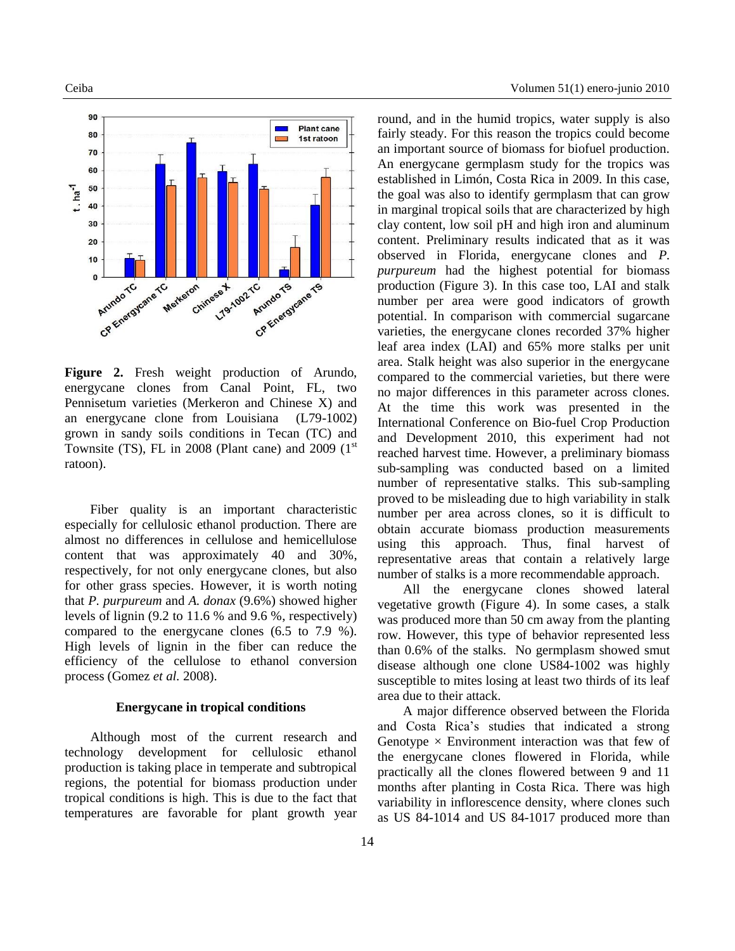

**Figure 2.** Fresh weight production of Arundo, energycane clones from Canal Point, FL, two Pennisetum varieties (Merkeron and Chinese X) and an energycane clone from Louisiana (L79-1002) grown in sandy soils conditions in Tecan (TC) and Townsite (TS), FL in 2008 (Plant cane) and 2009 ( $1<sup>st</sup>$ ratoon).

Fiber quality is an important characteristic especially for cellulosic ethanol production. There are almost no differences in cellulose and hemicellulose content that was approximately 40 and 30%, respectively, for not only energycane clones, but also for other grass species. However, it is worth noting that *P. purpureum* and *A. donax* (9.6%) showed higher levels of lignin (9.2 to 11.6 % and 9.6 %, respectively) compared to the energycane clones (6.5 to 7.9 %). High levels of lignin in the fiber can reduce the efficiency of the cellulose to ethanol conversion process (Gomez *et al.* 2008).

#### **Energycane in tropical conditions**

Although most of the current research and technology development for cellulosic ethanol production is taking place in temperate and subtropical regions, the potential for biomass production under tropical conditions is high. This is due to the fact that temperatures are favorable for plant growth year

round, and in the humid tropics, water supply is also fairly steady. For this reason the tropics could become an important source of biomass for biofuel production. An energycane germplasm study for the tropics was established in Limón, Costa Rica in 2009. In this case, the goal was also to identify germplasm that can grow in marginal tropical soils that are characterized by high clay content, low soil pH and high iron and aluminum content. Preliminary results indicated that as it was observed in Florida, energycane clones and *P. purpureum* had the highest potential for biomass production (Figure 3). In this case too, LAI and stalk number per area were good indicators of growth potential. In comparison with commercial sugarcane varieties, the energycane clones recorded 37% higher leaf area index (LAI) and 65% more stalks per unit area. Stalk height was also superior in the energycane compared to the commercial varieties, but there were no major differences in this parameter across clones. At the time this work was presented in the International Conference on Bio-fuel Crop Production and Development 2010, this experiment had not reached harvest time. However, a preliminary biomass sub-sampling was conducted based on a limited number of representative stalks. This sub-sampling proved to be misleading due to high variability in stalk number per area across clones, so it is difficult to obtain accurate biomass production measurements using this approach. Thus, final harvest of representative areas that contain a relatively large number of stalks is a more recommendable approach.

All the energycane clones showed lateral vegetative growth (Figure 4). In some cases, a stalk was produced more than 50 cm away from the planting row. However, this type of behavior represented less than 0.6% of the stalks. No germplasm showed smut disease although one clone US84-1002 was highly susceptible to mites losing at least two thirds of its leaf area due to their attack.

A major difference observed between the Florida and Costa Rica's studies that indicated a strong Genotype  $\times$  Environment interaction was that few of the energycane clones flowered in Florida, while practically all the clones flowered between 9 and 11 months after planting in Costa Rica. There was high variability in inflorescence density, where clones such as US 84-1014 and US 84-1017 produced more than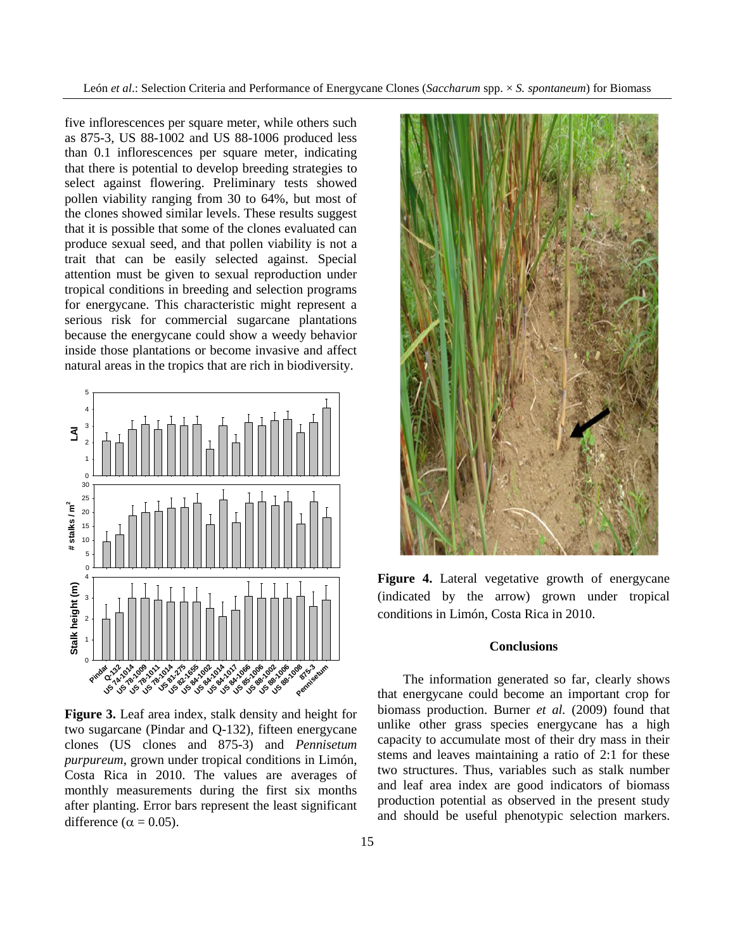León *et al*.: Selection Criteria and Performance of Energycane Clones (*Saccharum* spp. × *S. spontaneum*) for Biomass

five inflorescences per square meter, while others such as 875-3, US 88-1002 and US 88-1006 produced less than 0.1 inflorescences per square meter, indicating that there is potential to develop breeding strategies to select against flowering. Preliminary tests showed pollen viability ranging from 30 to 64%, but most of the clones showed similar levels. These results suggest that it is possible that some of the clones evaluated can produce sexual seed, and that pollen viability is not a trait that can be easily selected against. Special attention must be given to sexual reproduction under tropical conditions in breeding and selection programs for energycane. This characteristic might represent a serious risk for commercial sugarcane plantations because the energycane could show a weedy behavior inside those plantations or become invasive and affect natural areas in the tropics that are rich in biodiversity.



**Figure 3.** Leaf area index, stalk density and height for two sugarcane (Pindar and Q-132), fifteen energycane clones (US clones and 875-3) and *Pennisetum purpureum*, grown under tropical conditions in Limón, Costa Rica in 2010. The values are averages of monthly measurements during the first six months after planting. Error bars represent the least significant difference ( $\alpha = 0.05$ ).



**Figure 4.** Lateral vegetative growth of energycane (indicated by the arrow) grown under tropical conditions in Limón, Costa Rica in 2010.

#### **Conclusions**

The information generated so far, clearly shows that energycane could become an important crop for biomass production. Burner *et al.* (2009) found that unlike other grass species energycane has a high capacity to accumulate most of their dry mass in their stems and leaves maintaining a ratio of 2:1 for these two structures. Thus, variables such as stalk number and leaf area index are good indicators of biomass production potential as observed in the present study and should be useful phenotypic selection markers.